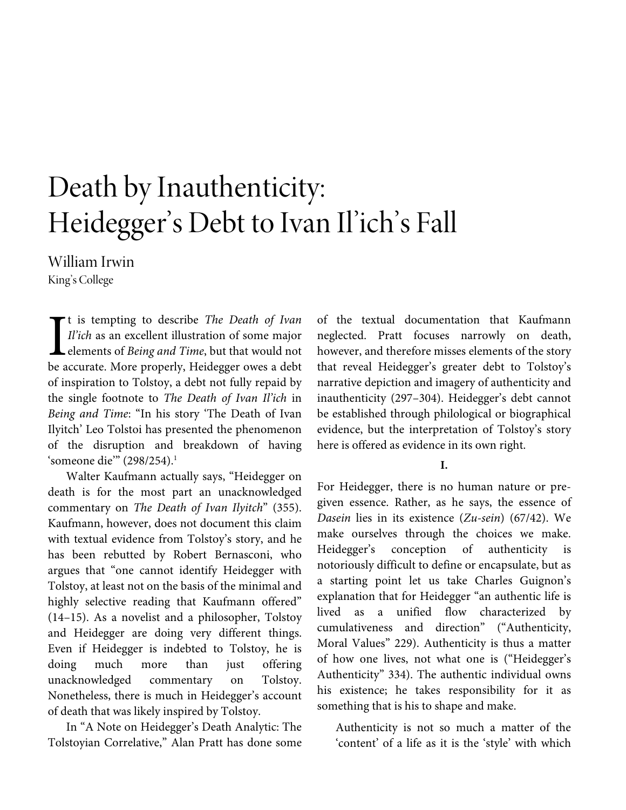# Death by Inauthenticity: Heidegger's Debt to Ivan Il'ich's Fall

William Irwin King's College

t is tempting to describe *The Death of Ivan Il'ich* as an excellent illustration of some major elements of *Being and Time*, but that would not It is tempting to describe *The Death of Ivan*<br>*Il'ich* as an excellent illustration of some major<br>elements of *Being and Time*, but that would not<br>be accurate. More properly, Heidegger owes a debt of inspiration to Tolstoy, a debt not fully repaid by the single footnote to *The Death of Ivan Il'ich* in *Being and Time*: "In his story 'The Death of Ivan Ilyitch' Leo Tolstoi has presented the phenomenon of the disruption and breakdown of having 'someone die" (298/254).<sup>1</sup>

Walter Kaufmann actually says, "Heidegger on death is for the most part an unacknowledged commentary on *The Death of Ivan Ilyitch*" (355). Kaufmann, however, does not document this claim with textual evidence from Tolstoy's story, and he has been rebutted by Robert Bernasconi, who argues that "one cannot identify Heidegger with Tolstoy, at least not on the basis of the minimal and highly selective reading that Kaufmann offered" (14–15). As a novelist and a philosopher, Tolstoy and Heidegger are doing very different things. Even if Heidegger is indebted to Tolstoy, he is doing much more than just offering unacknowledged commentary on Tolstoy. Nonetheless, there is much in Heidegger's account of death that was likely inspired by Tolstoy.

In "A Note on Heidegger's Death Analytic: The Tolstoyian Correlative," Alan Pratt has done some of the textual documentation that Kaufmann neglected. Pratt focuses narrowly on death, however, and therefore misses elements of the story that reveal Heidegger's greater debt to Tolstoy's narrative depiction and imagery of authenticity and inauthenticity (297–304). Heidegger's debt cannot be established through philological or biographical evidence, but the interpretation of Tolstoy's story here is offered as evidence in its own right.

#### **I.**

For Heidegger, there is no human nature or pregiven essence. Rather, as he says, the essence of *Dasein* lies in its existence (*Zu-sein*) (67/42). We make ourselves through the choices we make. Heidegger's conception of authenticity is notoriously difficult to define or encapsulate, but as a starting point let us take Charles Guignon's explanation that for Heidegger "an authentic life is lived as a unified flow characterized by cumulativeness and direction" ("Authenticity, Moral Values" 229). Authenticity is thus a matter of how one lives, not what one is ("Heidegger's Authenticity" 334). The authentic individual owns his existence; he takes responsibility for it as something that is his to shape and make.

Authenticity is not so much a matter of the 'content' of a life as it is the 'style' with which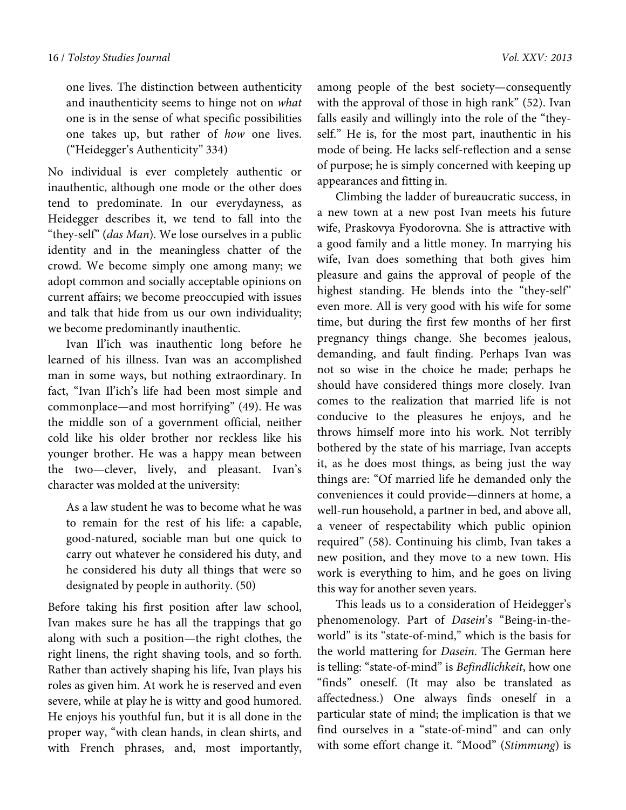one lives. The distinction between authenticity and inauthenticity seems to hinge not on *what* one is in the sense of what specific possibilities one takes up, but rather of *how* one lives. ("Heidegger's Authenticity" 334)

No individual is ever completely authentic or inauthentic, although one mode or the other does tend to predominate. In our everydayness, as Heidegger describes it, we tend to fall into the "they-self" (*das Man*). We lose ourselves in a public identity and in the meaningless chatter of the crowd. We become simply one among many; we adopt common and socially acceptable opinions on current affairs; we become preoccupied with issues and talk that hide from us our own individuality; we become predominantly inauthentic.

Ivan Il'ich was inauthentic long before he learned of his illness. Ivan was an accomplished man in some ways, but nothing extraordinary. In fact, "Ivan Il'ich's life had been most simple and commonplace—and most horrifying" (49). He was the middle son of a government official, neither cold like his older brother nor reckless like his younger brother. He was a happy mean between the two—clever, lively, and pleasant. Ivan's character was molded at the university:

As a law student he was to become what he was to remain for the rest of his life: a capable, good-natured, sociable man but one quick to carry out whatever he considered his duty, and he considered his duty all things that were so designated by people in authority. (50)

Before taking his first position after law school, Ivan makes sure he has all the trappings that go along with such a position—the right clothes, the right linens, the right shaving tools, and so forth. Rather than actively shaping his life, Ivan plays his roles as given him. At work he is reserved and even severe, while at play he is witty and good humored. He enjoys his youthful fun, but it is all done in the proper way, "with clean hands, in clean shirts, and with French phrases, and, most importantly, among people of the best society—consequently with the approval of those in high rank" (52). Ivan falls easily and willingly into the role of the "theyself." He is, for the most part, inauthentic in his mode of being. He lacks self-reflection and a sense of purpose; he is simply concerned with keeping up appearances and fitting in.

Climbing the ladder of bureaucratic success, in a new town at a new post Ivan meets his future wife, Praskovya Fyodorovna. She is attractive with a good family and a little money. In marrying his wife, Ivan does something that both gives him pleasure and gains the approval of people of the highest standing. He blends into the "they-self" even more. All is very good with his wife for some time, but during the first few months of her first pregnancy things change. She becomes jealous, demanding, and fault finding. Perhaps Ivan was not so wise in the choice he made; perhaps he should have considered things more closely. Ivan comes to the realization that married life is not conducive to the pleasures he enjoys, and he throws himself more into his work. Not terribly bothered by the state of his marriage, Ivan accepts it, as he does most things, as being just the way things are: "Of married life he demanded only the conveniences it could provide—dinners at home, a well-run household, a partner in bed, and above all, a veneer of respectability which public opinion required" (58). Continuing his climb, Ivan takes a new position, and they move to a new town. His work is everything to him, and he goes on living this way for another seven years.

This leads us to a consideration of Heidegger's phenomenology. Part of *Dasein*'s "Being-in-theworld" is its "state-of-mind," which is the basis for the world mattering for *Dasein*. The German here is telling: "state-of-mind" is *Befindlichkeit*, how one "finds" oneself. (It may also be translated as affectedness.) One always finds oneself in a particular state of mind; the implication is that we find ourselves in a "state-of-mind" and can only with some effort change it. "Mood" (*Stimmung*) is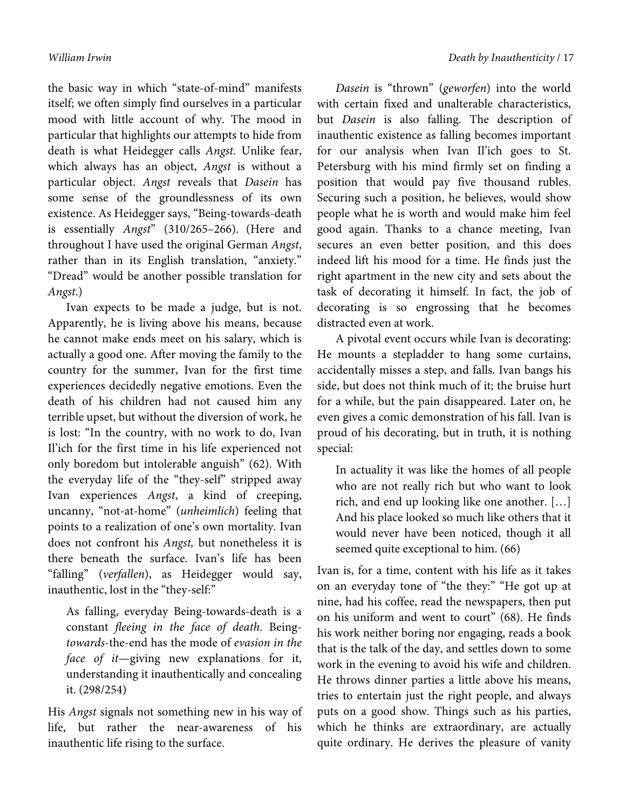the basic way in which "state-of-mind" manifests itself; we often simply find ourselves in a particular mood with little account of why. The mood in particular that highlights our attempts to hide from death is what Heidegger calls *Angst.* Unlike fear, which always has an object, *Angst* is without a particular object. *Angst* reveals that *Dasein* has some sense of the groundlessness of its own existence. As Heidegger says, "Being-towards-death is essentially *Angst*" (310/265–266). (Here and throughout I have used the original German *Angst*, rather than in its English translation, "anxiety." "Dread" would be another possible translation for *Angst*.)

Ivan expects to be made a judge, but is not. Apparently, he is living above his means, because he cannot make ends meet on his salary, which is actually a good one. After moving the family to the country for the summer, Ivan for the first time experiences decidedly negative emotions. Even the death of his children had not caused him any terrible upset, but without the diversion of work, he is lost: "In the country, with no work to do, Ivan Il'ich for the first time in his life experienced not only boredom but intolerable anguish" (62). With the everyday life of the "they-self" stripped away Ivan experiences *Angst*, a kind of creeping, uncanny, "not-at-home" (*unheimlich*) feeling that points to a realization of one's own mortality. Ivan does not confront his *Angst,* but nonetheless it is there beneath the surface. Ivan's life has been "falling" (*verfallen*), as Heidegger would say, inauthentic, lost in the "they-self:"

As falling, everyday Being-towards-death is a constant *fleeing in the face of death*. Being*towards*-the-end has the mode of *evasion in the face of it*—giving new explanations for it, understanding it inauthentically and concealing it. (298/254)

His *Angst* signals not something new in his way of life, but rather the near-awareness of his inauthentic life rising to the surface.

*Dasein* is "thrown" (*geworfen*) into the world with certain fixed and unalterable characteristics, but *Dasein* is also falling. The description of inauthentic existence as falling becomes important for our analysis when Ivan Il'ich goes to St. Petersburg with his mind firmly set on finding a position that would pay five thousand rubles. Securing such a position, he believes, would show people what he is worth and would make him feel good again. Thanks to a chance meeting, Ivan secures an even better position, and this does indeed lift his mood for a time. He finds just the right apartment in the new city and sets about the task of decorating it himself. In fact, the job of decorating is so engrossing that he becomes distracted even at work.

A pivotal event occurs while Ivan is decorating: He mounts a stepladder to hang some curtains, accidentally misses a step, and falls. Ivan bangs his side, but does not think much of it; the bruise hurt for a while, but the pain disappeared. Later on, he even gives a comic demonstration of his fall. Ivan is proud of his decorating, but in truth, it is nothing special:

In actuality it was like the homes of all people who are not really rich but who want to look rich, and end up looking like one another. […] And his place looked so much like others that it would never have been noticed, though it all seemed quite exceptional to him. (66)

Ivan is, for a time, content with his life as it takes on an everyday tone of "the they:" "He got up at nine, had his coffee, read the newspapers, then put on his uniform and went to court" (68). He finds his work neither boring nor engaging, reads a book that is the talk of the day, and settles down to some work in the evening to avoid his wife and children. He throws dinner parties a little above his means, tries to entertain just the right people, and always puts on a good show. Things such as his parties, which he thinks are extraordinary, are actually quite ordinary. He derives the pleasure of vanity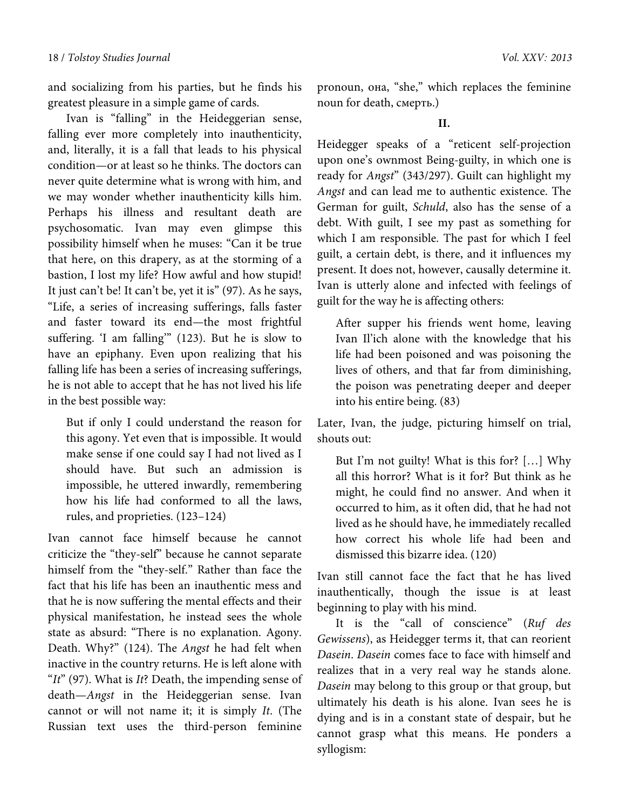and socializing from his parties, but he finds his greatest pleasure in a simple game of cards.

Ivan is "falling" in the Heideggerian sense, falling ever more completely into inauthenticity, and, literally, it is a fall that leads to his physical condition—or at least so he thinks. The doctors can never quite determine what is wrong with him, and we may wonder whether inauthenticity kills him. Perhaps his illness and resultant death are psychosomatic. Ivan may even glimpse this possibility himself when he muses: "Can it be true that here, on this drapery, as at the storming of a bastion, I lost my life? How awful and how stupid! It just can't be! It can't be, yet it is" (97). As he says, "Life, a series of increasing sufferings, falls faster and faster toward its end—the most frightful suffering. 'I am falling'" (123). But he is slow to have an epiphany. Even upon realizing that his falling life has been a series of increasing sufferings, he is not able to accept that he has not lived his life in the best possible way:

But if only I could understand the reason for this agony. Yet even that is impossible. It would make sense if one could say I had not lived as I should have. But such an admission is impossible, he uttered inwardly, remembering how his life had conformed to all the laws, rules, and proprieties. (123–124)

Ivan cannot face himself because he cannot criticize the "they-self" because he cannot separate himself from the "they-self." Rather than face the fact that his life has been an inauthentic mess and that he is now suffering the mental effects and their physical manifestation, he instead sees the whole state as absurd: "There is no explanation. Agony. Death. Why?" (124). The *Angst* he had felt when inactive in the country returns. He is left alone with "*It*" (97). What is *It*? Death, the impending sense of death—*Angst* in the Heideggerian sense. Ivan cannot or will not name it; it is simply *It*. (The Russian text uses the third-person feminine

pronoun, она, "she," which replaces the feminine noun for death, смерть.)

Heidegger speaks of a "reticent self-projection upon one's ownmost Being-guilty, in which one is ready for *Angst*" (343/297). Guilt can highlight my *Angst* and can lead me to authentic existence. The German for guilt, *Schuld*, also has the sense of a debt. With guilt, I see my past as something for which I am responsible. The past for which I feel guilt, a certain debt, is there, and it influences my present. It does not, however, causally determine it. Ivan is utterly alone and infected with feelings of guilt for the way he is affecting others:

After supper his friends went home, leaving Ivan Il'ich alone with the knowledge that his life had been poisoned and was poisoning the lives of others, and that far from diminishing, the poison was penetrating deeper and deeper into his entire being. (83)

Later, Ivan, the judge, picturing himself on trial, shouts out:

But I'm not guilty! What is this for? […] Why all this horror? What is it for? But think as he might, he could find no answer. And when it occurred to him, as it often did, that he had not lived as he should have, he immediately recalled how correct his whole life had been and dismissed this bizarre idea. (120)

Ivan still cannot face the fact that he has lived inauthentically, though the issue is at least beginning to play with his mind.

It is the "call of conscience" (*Ruf des Gewissens*), as Heidegger terms it, that can reorient *Dasein*. *Dasein* comes face to face with himself and realizes that in a very real way he stands alone. *Dasein* may belong to this group or that group, but ultimately his death is his alone. Ivan sees he is dying and is in a constant state of despair, but he cannot grasp what this means. He ponders a syllogism: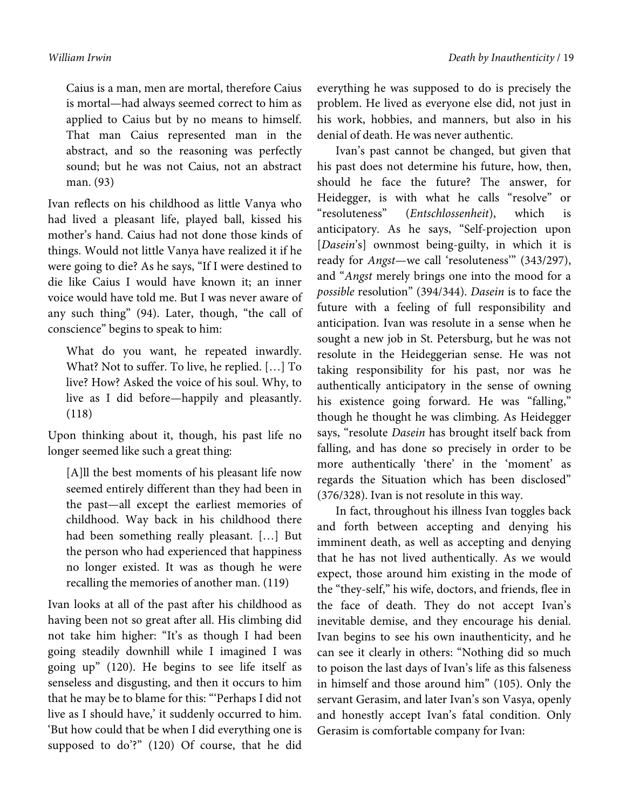Caius is a man, men are mortal, therefore Caius is mortal—had always seemed correct to him as applied to Caius but by no means to himself. That man Caius represented man in the abstract, and so the reasoning was perfectly sound; but he was not Caius, not an abstract man. (93)

Ivan reflects on his childhood as little Vanya who had lived a pleasant life, played ball, kissed his mother's hand. Caius had not done those kinds of things. Would not little Vanya have realized it if he were going to die? As he says, "If I were destined to die like Caius I would have known it; an inner voice would have told me. But I was never aware of any such thing" (94). Later, though, "the call of conscience" begins to speak to him:

What do you want, he repeated inwardly. What? Not to suffer. To live, he replied. […] To live? How? Asked the voice of his soul. Why, to live as I did before—happily and pleasantly. (118)

Upon thinking about it, though, his past life no longer seemed like such a great thing:

[A]ll the best moments of his pleasant life now seemed entirely different than they had been in the past—all except the earliest memories of childhood. Way back in his childhood there had been something really pleasant. […] But the person who had experienced that happiness no longer existed. It was as though he were recalling the memories of another man. (119)

Ivan looks at all of the past after his childhood as having been not so great after all. His climbing did not take him higher: "It's as though I had been going steadily downhill while I imagined I was going up" (120). He begins to see life itself as senseless and disgusting, and then it occurs to him that he may be to blame for this: "'Perhaps I did not live as I should have,' it suddenly occurred to him. 'But how could that be when I did everything one is supposed to do'?" (120) Of course, that he did

everything he was supposed to do is precisely the problem. He lived as everyone else did, not just in his work, hobbies, and manners, but also in his denial of death. He was never authentic.

Ivan's past cannot be changed, but given that his past does not determine his future, how, then, should he face the future? The answer, for Heidegger, is with what he calls "resolve" or "resoluteness" (*Entschlossenheit*), which is anticipatory. As he says, "Self-projection upon [*Dasein*'s] ownmost being-guilty, in which it is ready for *Angst*—we call 'resoluteness'" (343/297), and "*Angst* merely brings one into the mood for a *possible* resolution" (394/344). *Dasein* is to face the future with a feeling of full responsibility and anticipation. Ivan was resolute in a sense when he sought a new job in St. Petersburg, but he was not resolute in the Heideggerian sense. He was not taking responsibility for his past, nor was he authentically anticipatory in the sense of owning his existence going forward. He was "falling," though he thought he was climbing. As Heidegger says, "resolute *Dasein* has brought itself back from falling, and has done so precisely in order to be more authentically 'there' in the 'moment' as regards the Situation which has been disclosed" (376/328). Ivan is not resolute in this way.

In fact, throughout his illness Ivan toggles back and forth between accepting and denying his imminent death, as well as accepting and denying that he has not lived authentically. As we would expect, those around him existing in the mode of the "they-self," his wife, doctors, and friends, flee in the face of death. They do not accept Ivan's inevitable demise, and they encourage his denial. Ivan begins to see his own inauthenticity, and he can see it clearly in others: "Nothing did so much to poison the last days of Ivan's life as this falseness in himself and those around him" (105). Only the servant Gerasim, and later Ivan's son Vasya, openly and honestly accept Ivan's fatal condition. Only Gerasim is comfortable company for Ivan: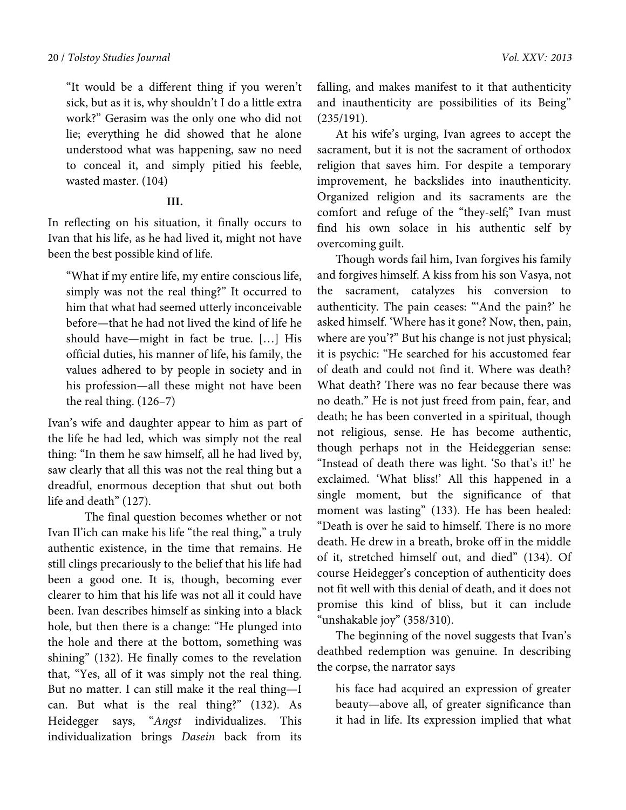"It would be a different thing if you weren't sick, but as it is, why shouldn't I do a little extra work?" Gerasim was the only one who did not lie; everything he did showed that he alone understood what was happening, saw no need to conceal it, and simply pitied his feeble, wasted master. (104)

### **III.**

In reflecting on his situation, it finally occurs to Ivan that his life, as he had lived it, might not have been the best possible kind of life.

"What if my entire life, my entire conscious life, simply was not the real thing?" It occurred to him that what had seemed utterly inconceivable before—that he had not lived the kind of life he should have—might in fact be true. […] His official duties, his manner of life, his family, the values adhered to by people in society and in his profession—all these might not have been the real thing. (126–7)

Ivan's wife and daughter appear to him as part of the life he had led, which was simply not the real thing: "In them he saw himself, all he had lived by, saw clearly that all this was not the real thing but a dreadful, enormous deception that shut out both life and death" (127).

 The final question becomes whether or not Ivan Il'ich can make his life "the real thing," a truly authentic existence, in the time that remains. He still clings precariously to the belief that his life had been a good one. It is, though, becoming ever clearer to him that his life was not all it could have been. Ivan describes himself as sinking into a black hole, but then there is a change: "He plunged into the hole and there at the bottom, something was shining" (132). He finally comes to the revelation that, "Yes, all of it was simply not the real thing. But no matter. I can still make it the real thing—I can. But what is the real thing?" (132). As Heidegger says, "*Angst* individualizes. This individualization brings *Dasein* back from its

falling, and makes manifest to it that authenticity and inauthenticity are possibilities of its Being" (235/191).

At his wife's urging, Ivan agrees to accept the sacrament, but it is not the sacrament of orthodox religion that saves him. For despite a temporary improvement, he backslides into inauthenticity. Organized religion and its sacraments are the comfort and refuge of the "they-self;" Ivan must find his own solace in his authentic self by overcoming guilt.

Though words fail him, Ivan forgives his family and forgives himself. A kiss from his son Vasya, not the sacrament, catalyzes his conversion to authenticity. The pain ceases: "'And the pain?' he asked himself. 'Where has it gone? Now, then, pain, where are you'?" But his change is not just physical; it is psychic: "He searched for his accustomed fear of death and could not find it. Where was death? What death? There was no fear because there was no death." He is not just freed from pain, fear, and death; he has been converted in a spiritual, though not religious, sense. He has become authentic, though perhaps not in the Heideggerian sense: "Instead of death there was light. 'So that's it!' he exclaimed. 'What bliss!' All this happened in a single moment, but the significance of that moment was lasting" (133). He has been healed: "Death is over he said to himself. There is no more death. He drew in a breath, broke off in the middle of it, stretched himself out, and died" (134). Of course Heidegger's conception of authenticity does not fit well with this denial of death, and it does not promise this kind of bliss, but it can include "unshakable joy" (358/310).

The beginning of the novel suggests that Ivan's deathbed redemption was genuine. In describing the corpse, the narrator says

his face had acquired an expression of greater beauty—above all, of greater significance than it had in life. Its expression implied that what